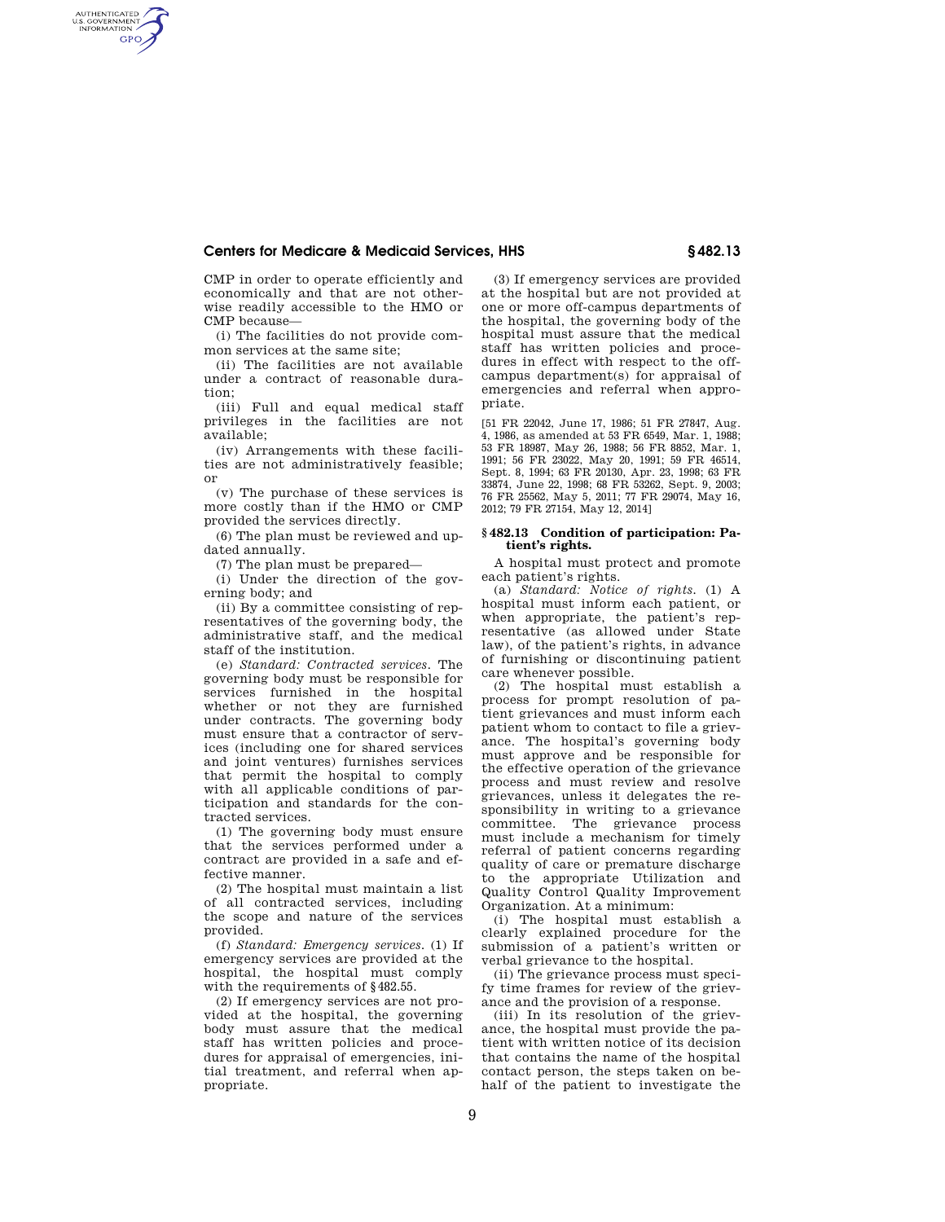## **Centers for Medicare & Medicaid Services, HHS § 482.13**

CMP in order to operate efficiently and economically and that are not otherwise readily accessible to the HMO or CMP because—

AUTHENTICATED<br>U.S. GOVERNMENT<br>INFORMATION **GPO** 

> (i) The facilities do not provide common services at the same site;

> (ii) The facilities are not available under a contract of reasonable duration;

(iii) Full and equal medical staff privileges in the facilities are not available;

(iv) Arrangements with these facilities are not administratively feasible; or

(v) The purchase of these services is more costly than if the HMO or CMP provided the services directly.

(6) The plan must be reviewed and updated annually.

(7) The plan must be prepared—

(i) Under the direction of the governing body; and

(ii) By a committee consisting of representatives of the governing body, the administrative staff, and the medical staff of the institution.

(e) *Standard: Contracted services.* The governing body must be responsible for services furnished in the hospital whether or not they are furnished under contracts. The governing body must ensure that a contractor of services (including one for shared services and joint ventures) furnishes services that permit the hospital to comply with all applicable conditions of participation and standards for the contracted services.

(1) The governing body must ensure that the services performed under a contract are provided in a safe and effective manner.

(2) The hospital must maintain a list of all contracted services, including the scope and nature of the services provided.

(f) *Standard: Emergency services.* (1) If emergency services are provided at the hospital, the hospital must comply with the requirements of §482.55.

(2) If emergency services are not provided at the hospital, the governing body must assure that the medical staff has written policies and procedures for appraisal of emergencies, initial treatment, and referral when appropriate.

(3) If emergency services are provided at the hospital but are not provided at one or more off-campus departments of the hospital, the governing body of the hospital must assure that the medical staff has written policies and procedures in effect with respect to the offcampus department(s) for appraisal of emergencies and referral when appropriate.

[51 FR 22042, June 17, 1986; 51 FR 27847, Aug. 4, 1986, as amended at 53 FR 6549, Mar. 1, 1988; 53 FR 18987, May 26, 1988; 56 FR 8852, Mar. 1, 1991; 56 FR 23022, May 20, 1991; 59 FR 46514, Sept. 8, 1994; 63 FR 20130, Apr. 23, 1998; 63 FR 33874, June 22, 1998; 68 FR 53262, Sept. 9, 2003; 76 FR 25562, May 5, 2011; 77 FR 29074, May 16, 2012; 79 FR 27154, May 12, 2014]

## **§ 482.13 Condition of participation: Patient's rights.**

A hospital must protect and promote each patient's rights.

(a) *Standard: Notice of rights.* (1) A hospital must inform each patient, or when appropriate, the patient's representative (as allowed under State law), of the patient's rights, in advance of furnishing or discontinuing patient care whenever possible.

(2) The hospital must establish a process for prompt resolution of patient grievances and must inform each patient whom to contact to file a grievance. The hospital's governing body must approve and be responsible for the effective operation of the grievance process and must review and resolve grievances, unless it delegates the responsibility in writing to a grievance committee. The grievance process must include a mechanism for timely referral of patient concerns regarding quality of care or premature discharge to the appropriate Utilization and Quality Control Quality Improvement Organization. At a minimum:

(i) The hospital must establish a clearly explained procedure for the submission of a patient's written or verbal grievance to the hospital.

(ii) The grievance process must specify time frames for review of the grievance and the provision of a response.

(iii) In its resolution of the grievance, the hospital must provide the patient with written notice of its decision that contains the name of the hospital contact person, the steps taken on behalf of the patient to investigate the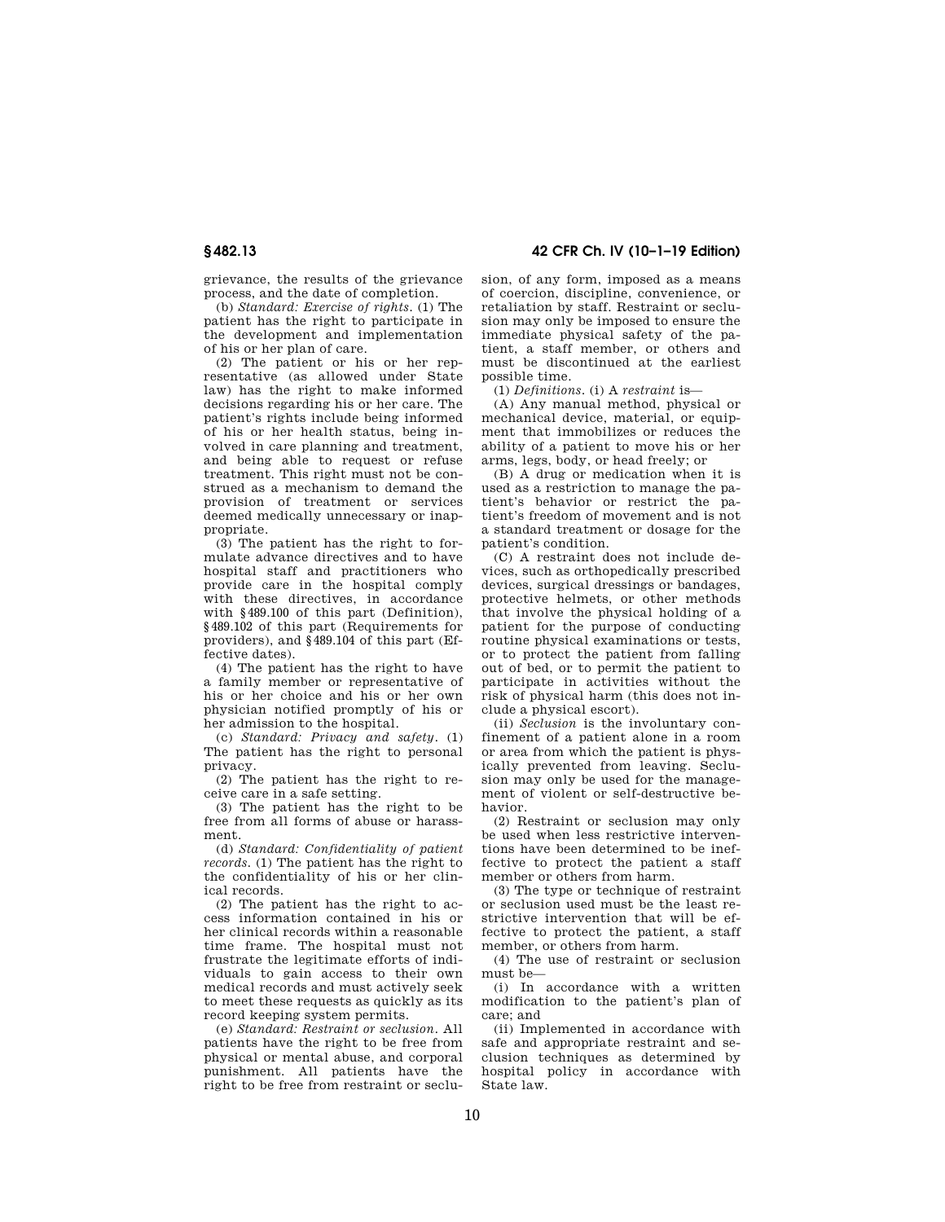grievance, the results of the grievance process, and the date of completion.

(b) *Standard: Exercise of rights.* (1) The patient has the right to participate in the development and implementation of his or her plan of care.

(2) The patient or his or her representative (as allowed under State law) has the right to make informed decisions regarding his or her care. The patient's rights include being informed of his or her health status, being involved in care planning and treatment, and being able to request or refuse treatment. This right must not be construed as a mechanism to demand the provision of treatment or services deemed medically unnecessary or inappropriate.

(3) The patient has the right to formulate advance directives and to have hospital staff and practitioners who provide care in the hospital comply with these directives, in accordance with §489.100 of this part (Definition), §489.102 of this part (Requirements for providers), and §489.104 of this part (Effective dates).

(4) The patient has the right to have a family member or representative of his or her choice and his or her own physician notified promptly of his or her admission to the hospital.

(c) *Standard: Privacy and safety.* (1) The patient has the right to personal privacy.

(2) The patient has the right to receive care in a safe setting.

(3) The patient has the right to be free from all forms of abuse or harassment.

(d) *Standard: Confidentiality of patient records.* (1) The patient has the right to the confidentiality of his or her clinical records.

(2) The patient has the right to access information contained in his or her clinical records within a reasonable time frame. The hospital must not frustrate the legitimate efforts of individuals to gain access to their own medical records and must actively seek to meet these requests as quickly as its record keeping system permits.

(e) *Standard: Restraint or seclusion.* All patients have the right to be free from physical or mental abuse, and corporal punishment. All patients have the right to be free from restraint or seclu-

**§ 482.13 42 CFR Ch. IV (10–1–19 Edition)** 

sion, of any form, imposed as a means of coercion, discipline, convenience, or retaliation by staff. Restraint or seclusion may only be imposed to ensure the immediate physical safety of the patient, a staff member, or others and must be discontinued at the earliest possible time.

(1) *Definitions.* (i) A *restraint* is—

(A) Any manual method, physical or mechanical device, material, or equipment that immobilizes or reduces the ability of a patient to move his or her arms, legs, body, or head freely; or

(B) A drug or medication when it is used as a restriction to manage the patient's behavior or restrict the patient's freedom of movement and is not a standard treatment or dosage for the patient's condition.

(C) A restraint does not include devices, such as orthopedically prescribed devices, surgical dressings or bandages, protective helmets, or other methods that involve the physical holding of a patient for the purpose of conducting routine physical examinations or tests, or to protect the patient from falling out of bed, or to permit the patient to participate in activities without the risk of physical harm (this does not include a physical escort).

(ii) *Seclusion* is the involuntary confinement of a patient alone in a room or area from which the patient is physically prevented from leaving. Seclusion may only be used for the management of violent or self-destructive behavior.

(2) Restraint or seclusion may only be used when less restrictive interventions have been determined to be ineffective to protect the patient a staff member or others from harm.

(3) The type or technique of restraint or seclusion used must be the least restrictive intervention that will be effective to protect the patient, a staff member, or others from harm.

(4) The use of restraint or seclusion must be—

(i) In accordance with a written modification to the patient's plan of care; and

(ii) Implemented in accordance with safe and appropriate restraint and seclusion techniques as determined by hospital policy in accordance with State law.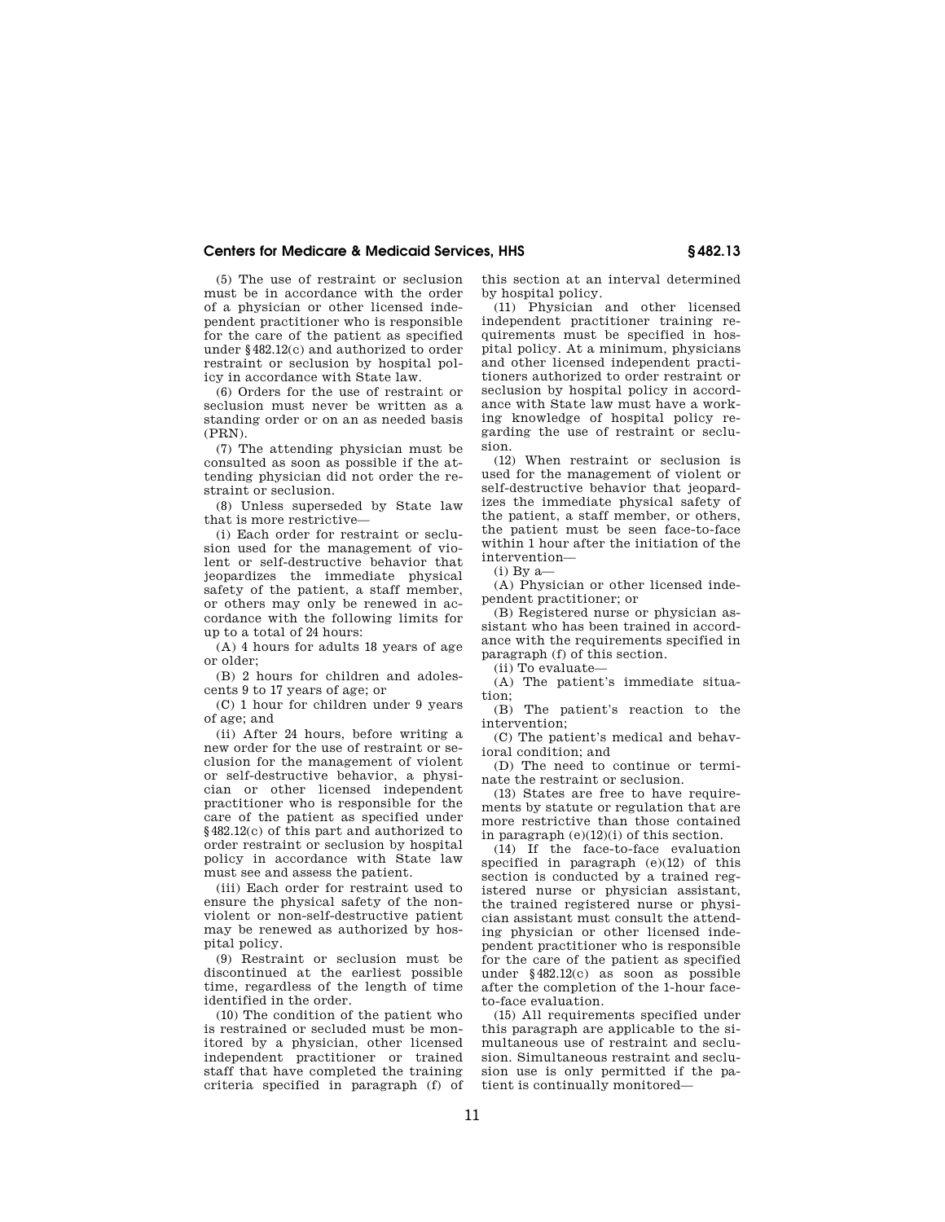## **Centers for Medicare & Medicaid Services, HHS § 482.13**

(5) The use of restraint or seclusion must be in accordance with the order of a physician or other licensed independent practitioner who is responsible for the care of the patient as specified under §482.12(c) and authorized to order restraint or seclusion by hospital policy in accordance with State law.

(6) Orders for the use of restraint or seclusion must never be written as a standing order or on an as needed basis (PRN).

(7) The attending physician must be consulted as soon as possible if the attending physician did not order the restraint or seclusion.

(8) Unless superseded by State law that is more restrictive—

(i) Each order for restraint or seclusion used for the management of violent or self-destructive behavior that jeopardizes the immediate physical safety of the patient, a staff member, or others may only be renewed in accordance with the following limits for up to a total of 24 hours:

(A) 4 hours for adults 18 years of age or older;

(B) 2 hours for children and adolescents 9 to 17 years of age; or

(C) 1 hour for children under 9 years of age; and

(ii) After 24 hours, before writing a new order for the use of restraint or seclusion for the management of violent or self-destructive behavior, a physician or other licensed independent practitioner who is responsible for the care of the patient as specified under §482.12(c) of this part and authorized to order restraint or seclusion by hospital policy in accordance with State law must see and assess the patient.

(iii) Each order for restraint used to ensure the physical safety of the nonviolent or non-self-destructive patient may be renewed as authorized by hospital policy.

(9) Restraint or seclusion must be discontinued at the earliest possible time, regardless of the length of time identified in the order.

(10) The condition of the patient who is restrained or secluded must be monitored by a physician, other licensed independent practitioner or trained staff that have completed the training criteria specified in paragraph (f) of this section at an interval determined by hospital policy.

(11) Physician and other licensed independent practitioner training requirements must be specified in hospital policy. At a minimum, physicians and other licensed independent practitioners authorized to order restraint or seclusion by hospital policy in accordance with State law must have a working knowledge of hospital policy regarding the use of restraint or seclusion.

(12) When restraint or seclusion is used for the management of violent or self-destructive behavior that jeopardizes the immediate physical safety of the patient, a staff member, or others, the patient must be seen face-to-face within 1 hour after the initiation of the intervention—

 $(i)$  By a-

(A) Physician or other licensed independent practitioner; or

(B) Registered nurse or physician assistant who has been trained in accordance with the requirements specified in paragraph (f) of this section.

(ii) To evaluate—

(A) The patient's immediate situation;

(B) The patient's reaction to the intervention;

(C) The patient's medical and behavioral condition; and

(D) The need to continue or terminate the restraint or seclusion.

(13) States are free to have requirements by statute or regulation that are more restrictive than those contained in paragraph  $(e)(12)(i)$  of this section.

(14) If the face-to-face evaluation specified in paragraph (e)(12) of this section is conducted by a trained registered nurse or physician assistant, the trained registered nurse or physician assistant must consult the attending physician or other licensed independent practitioner who is responsible for the care of the patient as specified under §482.12(c) as soon as possible after the completion of the 1-hour faceto-face evaluation.

(15) All requirements specified under this paragraph are applicable to the simultaneous use of restraint and seclusion. Simultaneous restraint and seclusion use is only permitted if the patient is continually monitored—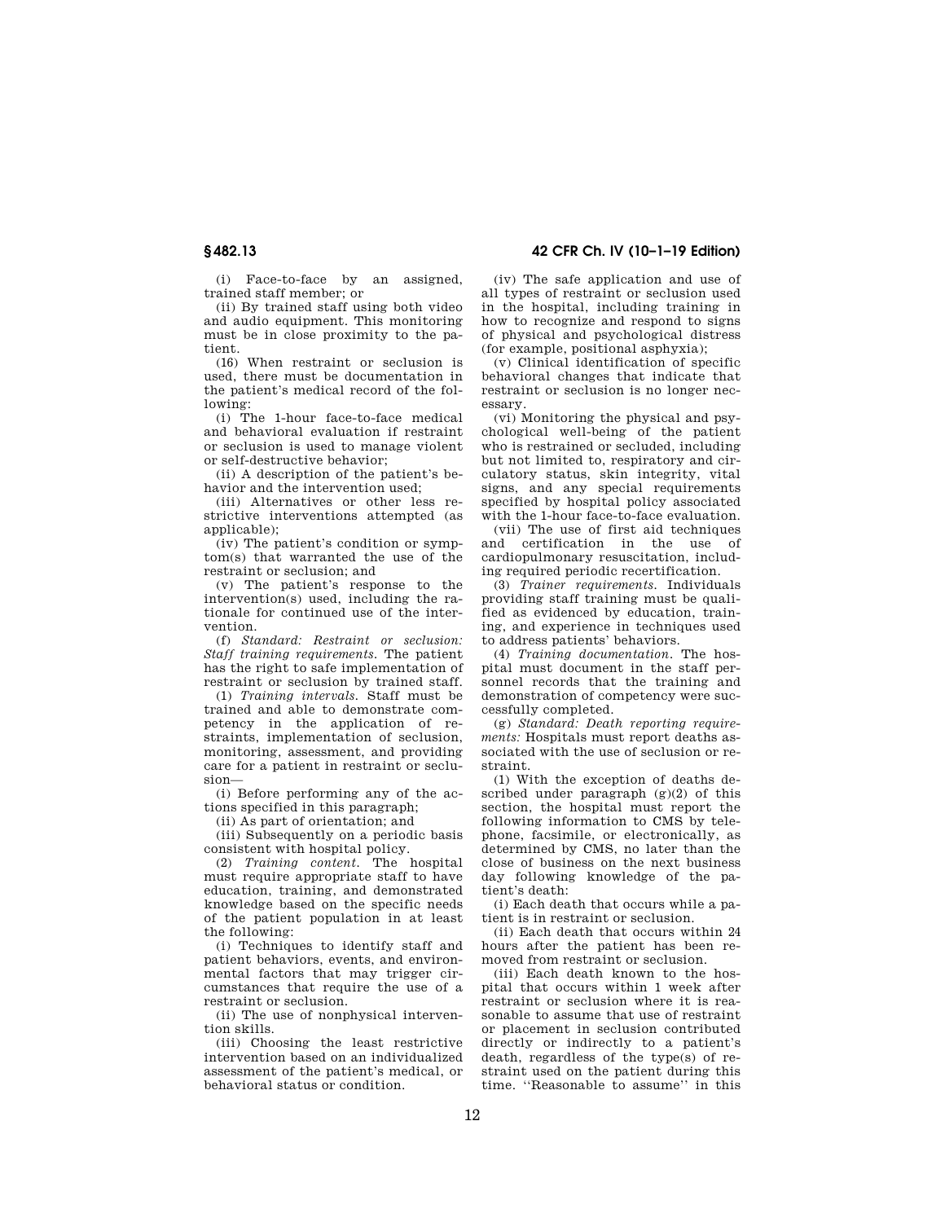(i) Face-to-face by an assigned, trained staff member; or

(ii) By trained staff using both video and audio equipment. This monitoring must be in close proximity to the patient.

(16) When restraint or seclusion is used, there must be documentation in the patient's medical record of the following:

(i) The 1-hour face-to-face medical and behavioral evaluation if restraint or seclusion is used to manage violent or self-destructive behavior;

(ii) A description of the patient's behavior and the intervention used;

(iii) Alternatives or other less restrictive interventions attempted (as applicable);

(iv) The patient's condition or symptom(s) that warranted the use of the restraint or seclusion; and

(v) The patient's response to the intervention(s) used, including the rationale for continued use of the intervention.

(f) *Standard: Restraint or seclusion: Staff training requirements.* The patient has the right to safe implementation of restraint or seclusion by trained staff.

(1) *Training intervals.* Staff must be trained and able to demonstrate competency in the application of restraints, implementation of seclusion, monitoring, assessment, and providing care for a patient in restraint or seclusion—

(i) Before performing any of the actions specified in this paragraph;

(ii) As part of orientation; and

(iii) Subsequently on a periodic basis consistent with hospital policy.

(2) *Training content.* The hospital must require appropriate staff to have education, training, and demonstrated knowledge based on the specific needs of the patient population in at least the following:

(i) Techniques to identify staff and patient behaviors, events, and environmental factors that may trigger circumstances that require the use of a restraint or seclusion.

(ii) The use of nonphysical intervention skills.

(iii) Choosing the least restrictive intervention based on an individualized assessment of the patient's medical, or behavioral status or condition.

(iv) The safe application and use of all types of restraint or seclusion used in the hospital, including training in how to recognize and respond to signs of physical and psychological distress (for example, positional asphyxia);

(v) Clinical identification of specific behavioral changes that indicate that restraint or seclusion is no longer necessary.

(vi) Monitoring the physical and psychological well-being of the patient who is restrained or secluded, including but not limited to, respiratory and circulatory status, skin integrity, vital signs, and any special requirements specified by hospital policy associated with the 1-hour face-to-face evaluation.

(vii) The use of first aid techniques and certification in the use of cardiopulmonary resuscitation, including required periodic recertification.

(3) *Trainer requirements.* Individuals providing staff training must be qualified as evidenced by education, training, and experience in techniques used to address patients' behaviors.

(4) *Training documentation.* The hospital must document in the staff personnel records that the training and demonstration of competency were successfully completed.

(g) *Standard: Death reporting requirements:* Hospitals must report deaths associated with the use of seclusion or restraint.

(1) With the exception of deaths described under paragraph  $(g)(2)$  of this section, the hospital must report the following information to CMS by telephone, facsimile, or electronically, as determined by CMS, no later than the close of business on the next business day following knowledge of the patient's death:

(i) Each death that occurs while a patient is in restraint or seclusion.

(ii) Each death that occurs within 24 hours after the patient has been removed from restraint or seclusion.

(iii) Each death known to the hospital that occurs within 1 week after restraint or seclusion where it is reasonable to assume that use of restraint or placement in seclusion contributed directly or indirectly to a patient's death, regardless of the type(s) of restraint used on the patient during this time. ''Reasonable to assume'' in this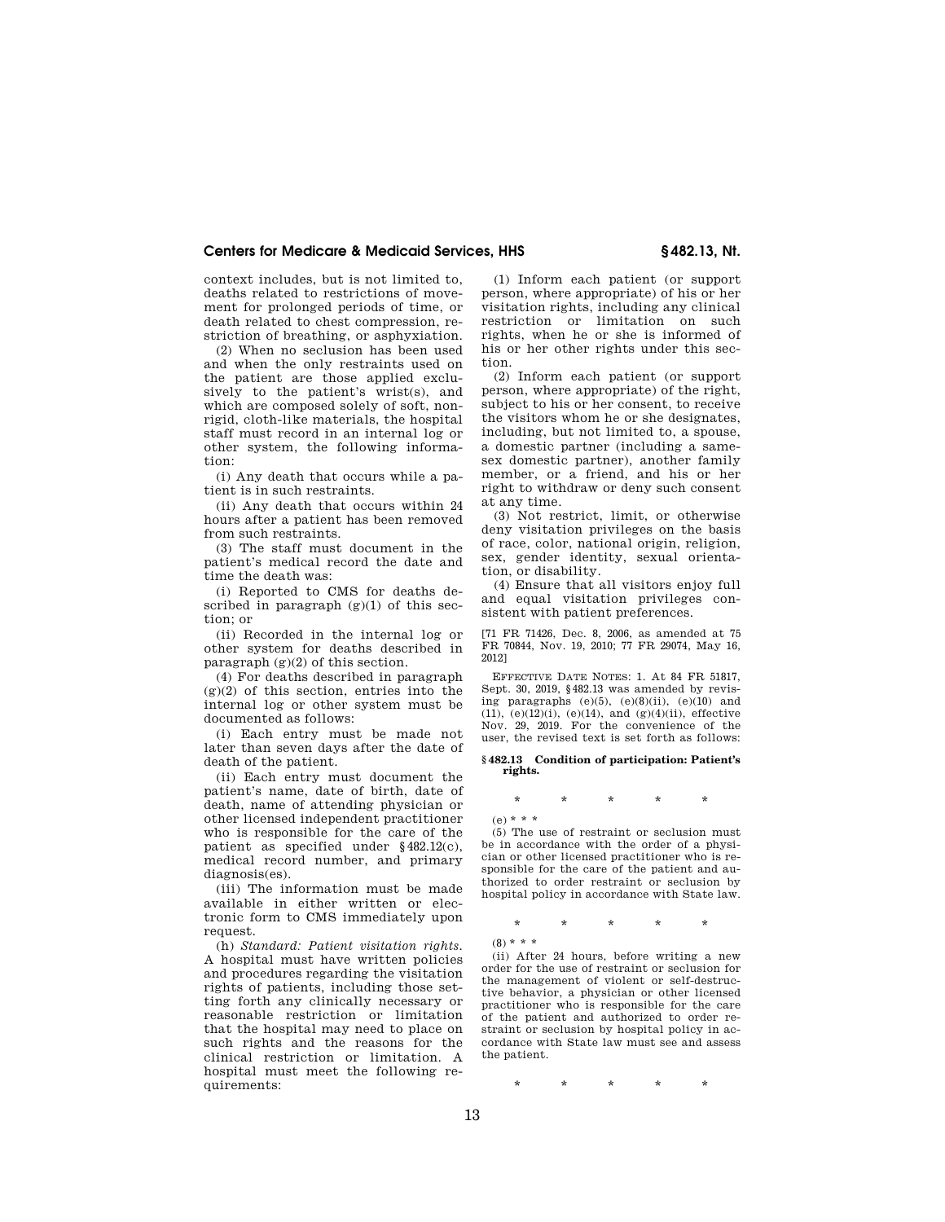## **Centers for Medicare & Medicaid Services, HHS § 482.13, Nt.**

context includes, but is not limited to, deaths related to restrictions of movement for prolonged periods of time, or death related to chest compression, restriction of breathing, or asphyxiation.

(2) When no seclusion has been used and when the only restraints used on the patient are those applied exclusively to the patient's wrist(s), and which are composed solely of soft, nonrigid, cloth-like materials, the hospital staff must record in an internal log or other system, the following information:

(i) Any death that occurs while a patient is in such restraints.

(ii) Any death that occurs within 24 hours after a patient has been removed from such restraints.

(3) The staff must document in the patient's medical record the date and time the death was:

(i) Reported to CMS for deaths described in paragraph  $(g)(1)$  of this section; or

(ii) Recorded in the internal log or other system for deaths described in paragraph  $(g)(2)$  of this section.

(4) For deaths described in paragraph  $(g)(2)$  of this section, entries into the internal log or other system must be documented as follows:

(i) Each entry must be made not later than seven days after the date of death of the patient.

(ii) Each entry must document the patient's name, date of birth, date of death, name of attending physician or other licensed independent practitioner who is responsible for the care of the patient as specified under §482.12(c), medical record number, and primary diagnosis(es).

(iii) The information must be made available in either written or electronic form to CMS immediately upon request.

(h) *Standard: Patient visitation rights.*  A hospital must have written policies and procedures regarding the visitation rights of patients, including those setting forth any clinically necessary or reasonable restriction or limitation that the hospital may need to place on such rights and the reasons for the clinical restriction or limitation. A hospital must meet the following requirements:

(1) Inform each patient (or support person, where appropriate) of his or her visitation rights, including any clinical restriction or limitation on such rights, when he or she is informed of his or her other rights under this section.

(2) Inform each patient (or support person, where appropriate) of the right, subject to his or her consent, to receive the visitors whom he or she designates, including, but not limited to, a spouse, a domestic partner (including a samesex domestic partner), another family member, or a friend, and his or her right to withdraw or deny such consent at any time.

(3) Not restrict, limit, or otherwise deny visitation privileges on the basis of race, color, national origin, religion, sex, gender identity, sexual orientation, or disability.

(4) Ensure that all visitors enjoy full and equal visitation privileges consistent with patient preferences.

[71 FR 71426, Dec. 8, 2006, as amended at 75 FR 70844, Nov. 19, 2010; 77 FR 29074, May 16, 2012]

EFFECTIVE DATE NOTES: 1. At 84 FR 51817, Sept. 30, 2019, §482.13 was amended by revising paragraphs  $(e)(5)$ ,  $(e)(8)(ii)$ ,  $(e)(10)$  and  $(11)$ ,  $(e)(12)(i)$ ,  $(e)(14)$ , and  $(g)(4)(ii)$ , effective Nov. 29, 2019. For the convenience of the user, the revised text is set forth as follows:

### **§ 482.13 Condition of participation: Patient's rights.**

\* \* \* \* \*

 $(e) * * * *$ 

(5) The use of restraint or seclusion must be in accordance with the order of a physician or other licensed practitioner who is responsible for the care of the patient and authorized to order restraint or seclusion by hospital policy in accordance with State law.

$$
\star\qquad \star\qquad \star\qquad \star\qquad \star
$$

 $(8) * * * *$ 

(ii) After 24 hours, before writing a new order for the use of restraint or seclusion for the management of violent or self-destructive behavior, a physician or other licensed practitioner who is responsible for the care of the patient and authorized to order restraint or seclusion by hospital policy in accordance with State law must see and assess the patient.

\* \* \* \* \*